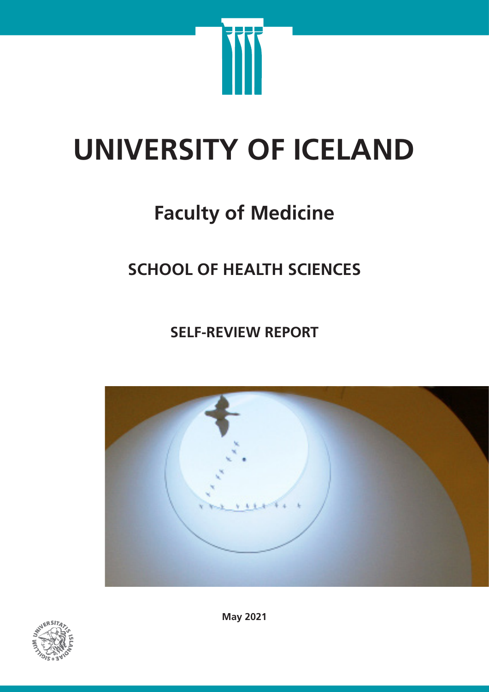

# **UNIVERSITY OF ICELAND**

# **Faculty of Medicine**

# **SCHOOL OF HEALTH SCIENCES**

**SELF-REVIEW REPORT**





**May 2021**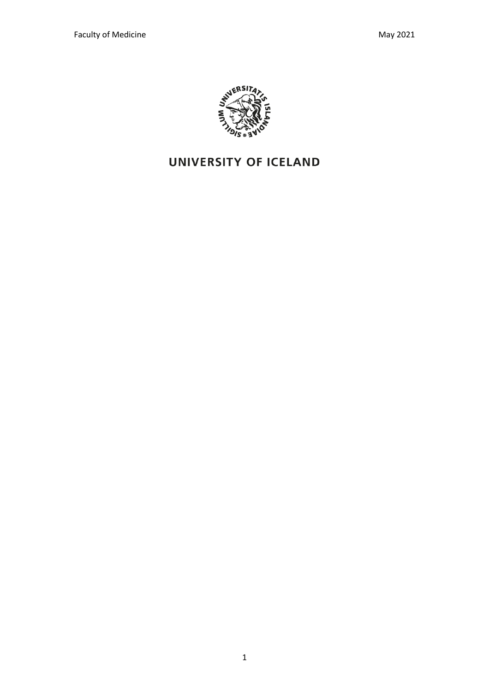

# UNIVERSITY OF ICELAND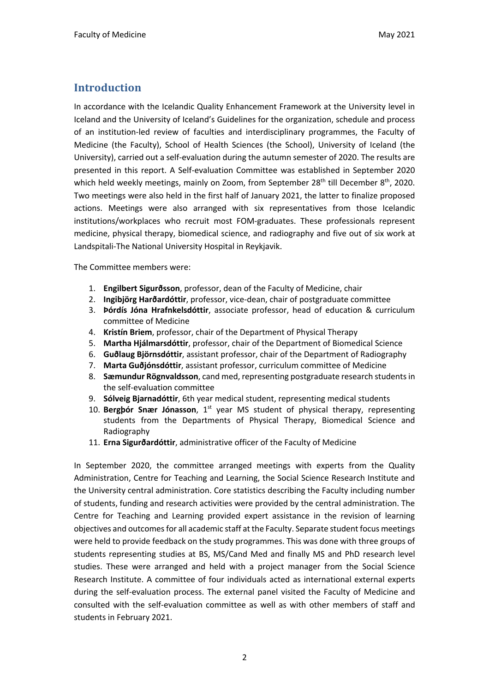#### **Introduction**

In accordance with the Icelandic Quality Enhancement Framework at the University level in Iceland and the University of Iceland's Guidelines for the organization, schedule and process of an institution-led review of faculties and interdisciplinary programmes, the Faculty of Medicine (the Faculty), School of Health Sciences (the School), University of Iceland (the University), carried out a self-evaluation during the autumn semester of 2020. The results are presented in this report. A Self-evaluation Committee was established in September 2020 which held weekly meetings, mainly on Zoom, from September 28<sup>th</sup> till December 8<sup>th</sup>, 2020. Two meetings were also held in the first half of January 2021, the latter to finalize proposed actions. Meetings were also arranged with six representatives from those Icelandic institutions/workplaces who recruit most FOM-graduates. These professionals represent medicine, physical therapy, biomedical science, and radiography and five out of six work at Landspitali-The National University Hospital in Reykjavik.

The Committee members were:

- 1. **Engilbert Sigurðsson**, professor, dean of the Faculty of Medicine, chair
- 2. **Ingibjörg Harðardóttir**, professor, vice-dean, chair of postgraduate committee
- 3. **Þórdís Jóna Hrafnkelsdóttir**, associate professor, head of education & curriculum committee of Medicine
- 4. **Kristín Briem**, professor, chair of the Department of Physical Therapy
- 5. **Martha Hjálmarsdóttir**, professor, chair of the Department of Biomedical Science
- 6. **Guðlaug Björnsdóttir**, assistant professor, chair of the Department of Radiography
- 7. **Marta Guðjónsdóttir**, assistant professor, curriculum committee of Medicine
- 8. **Sæmundur Rögnvaldsson**, cand med, representing postgraduate research students in the self-evaluation committee
- 9. **Sólveig Bjarnadóttir**, 6th year medical student, representing medical students
- 10. **Bergþór Snær Jónasson**, 1<sup>st</sup> year MS student of physical therapy, representing students from the Departments of Physical Therapy, Biomedical Science and Radiography
- 11. **Erna Sigurðardóttir**, administrative officer of the Faculty of Medicine

In September 2020, the committee arranged meetings with experts from the Quality Administration, Centre for Teaching and Learning, the Social Science Research Institute and the University central administration. Core statistics describing the Faculty including number of students, funding and research activities were provided by the central administration. The Centre for Teaching and Learning provided expert assistance in the revision of learning objectives and outcomes for all academic staff at the Faculty. Separate student focus meetings were held to provide feedback on the study programmes. This was done with three groups of students representing studies at BS, MS/Cand Med and finally MS and PhD research level studies. These were arranged and held with a project manager from the Social Science Research Institute. A committee of four individuals acted as international external experts during the self-evaluation process. The external panel visited the Faculty of Medicine and consulted with the self-evaluation committee as well as with other members of staff and students in February 2021.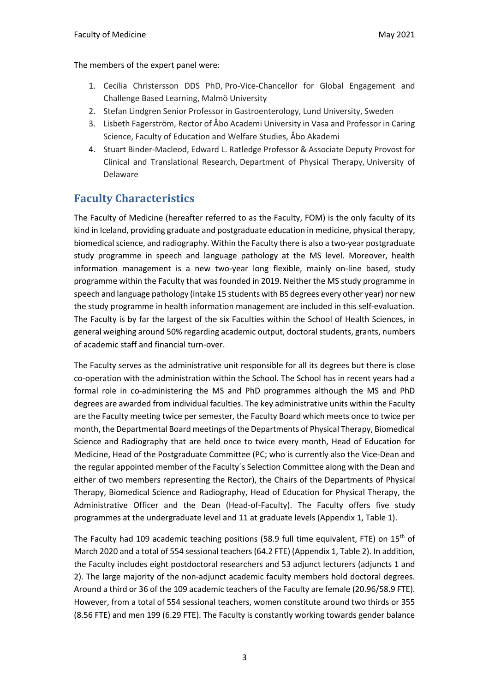The members of the expert panel were:

- 1. Cecilia Christersson DDS PhD, Pro-Vice-Chancellor for Global Engagement and Challenge Based Learning, Malmö University
- 2. Stefan Lindgren Senior Professor in Gastroenterology, Lund University, Sweden
- 3. Lisbeth Fagerström, Rector of Åbo Academi University in Vasa and Professor in Caring Science, Faculty of Education and Welfare Studies, Åbo Akademi
- 4. Stuart Binder-Macleod, Edward L. Ratledge Professor & Associate Deputy Provost for Clinical and Translational Research, Department of Physical Therapy, University of Delaware

#### **Faculty Characteristics**

The Faculty of Medicine (hereafter referred to as the Faculty, FOM) is the only faculty of its kind in Iceland, providing graduate and postgraduate education in medicine, physical therapy, biomedical science, and radiography. Within the Faculty there is also a two-year postgraduate study programme in speech and language pathology at the MS level. Moreover, health information management is a new two-year long flexible, mainly on-line based, study programme within the Faculty that was founded in 2019. Neither the MS study programme in speech and language pathology (intake 15 students with BS degrees every other year) nor new the study programme in health information management are included in this self-evaluation. The Faculty is by far the largest of the six Faculties within the School of Health Sciences, in general weighing around 50% regarding academic output, doctoral students, grants, numbers of academic staff and financial turn-over.

The Faculty serves as the administrative unit responsible for all its degrees but there is close co-operation with the administration within the School. The School has in recent years had a formal role in co-administering the MS and PhD programmes although the MS and PhD degrees are awarded from individual faculties. The key administrative units within the Faculty are the Faculty meeting twice per semester, the Faculty Board which meets once to twice per month, the Departmental Board meetings of the Departments of Physical Therapy, Biomedical Science and Radiography that are held once to twice every month, Head of Education for Medicine, Head of the Postgraduate Committee (PC; who is currently also the Vice-Dean and the regular appointed member of the Faculty´s Selection Committee along with the Dean and either of two members representing the Rector), the Chairs of the Departments of Physical Therapy, Biomedical Science and Radiography, Head of Education for Physical Therapy, the Administrative Officer and the Dean (Head-of-Faculty). The Faculty offers five study programmes at the undergraduate level and 11 at graduate levels (Appendix 1, Table 1).

The Faculty had 109 academic teaching positions (58.9 full time equivalent, FTE) on  $15<sup>th</sup>$  of March 2020 and a total of 554 sessional teachers (64.2 FTE) (Appendix 1, Table 2). In addition, the Faculty includes eight postdoctoral researchers and 53 adjunct lecturers (adjuncts 1 and 2). The large majority of the non-adjunct academic faculty members hold doctoral degrees. Around a third or 36 of the 109 academic teachers of the Faculty are female (20.96/58.9 FTE). However, from a total of 554 sessional teachers, women constitute around two thirds or 355 (8.56 FTE) and men 199 (6.29 FTE). The Faculty is constantly working towards gender balance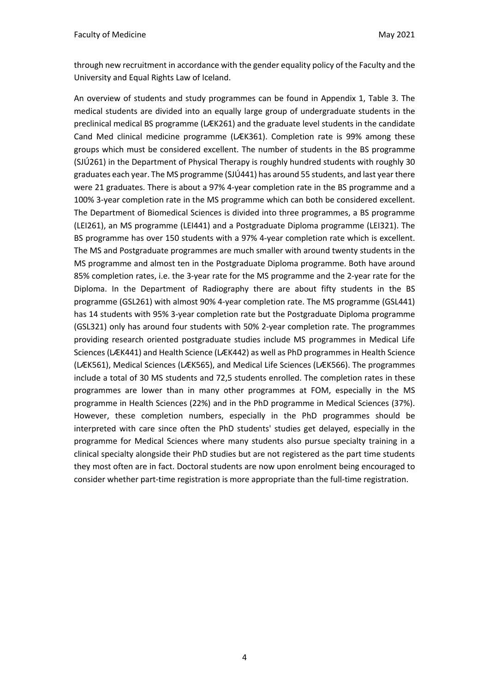through new recruitment in accordance with the gender equality policy of the Faculty and the University and Equal Rights Law of Iceland.

An overview of students and study programmes can be found in Appendix 1, Table 3. The medical students are divided into an equally large group of undergraduate students in the preclinical medical BS programme (LÆK261) and the graduate level students in the candidate Cand Med clinical medicine programme (LÆK361). Completion rate is 99% among these groups which must be considered excellent. The number of students in the BS programme (SJÚ261) in the Department of Physical Therapy is roughly hundred students with roughly 30 graduates each year. The MS programme (SJÚ441) has around 55 students, and last year there were 21 graduates. There is about a 97% 4-year completion rate in the BS programme and a 100% 3-year completion rate in the MS programme which can both be considered excellent. The Department of Biomedical Sciences is divided into three programmes, a BS programme (LEI261), an MS programme (LEI441) and a Postgraduate Diploma programme (LEI321). The BS programme has over 150 students with a 97% 4-year completion rate which is excellent. The MS and Postgraduate programmes are much smaller with around twenty students in the MS programme and almost ten in the Postgraduate Diploma programme. Both have around 85% completion rates, i.e. the 3-year rate for the MS programme and the 2-year rate for the Diploma. In the Department of Radiography there are about fifty students in the BS programme (GSL261) with almost 90% 4-year completion rate. The MS programme (GSL441) has 14 students with 95% 3-year completion rate but the Postgraduate Diploma programme (GSL321) only has around four students with 50% 2-year completion rate. The programmes providing research oriented postgraduate studies include MS programmes in Medical Life Sciences (LÆK441) and Health Science (LÆK442) as well as PhD programmes in Health Science (LÆK561), Medical Sciences (LÆK565), and Medical Life Sciences (LÆK566). The programmes include a total of 30 MS students and 72,5 students enrolled. The completion rates in these programmes are lower than in many other programmes at FOM, especially in the MS programme in Health Sciences (22%) and in the PhD programme in Medical Sciences (37%). However, these completion numbers, especially in the PhD programmes should be interpreted with care since often the PhD students' studies get delayed, especially in the programme for Medical Sciences where many students also pursue specialty training in a clinical specialty alongside their PhD studies but are not registered as the part time students they most often are in fact. Doctoral students are now upon enrolment being encouraged to consider whether part-time registration is more appropriate than the full-time registration.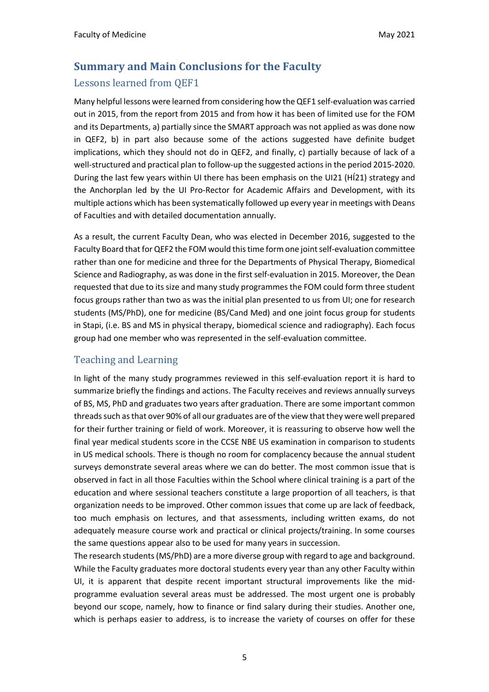### **Summary and Main Conclusions for the Faculty** Lessons learned from OEF1

Many helpful lessons were learned from considering how the QEF1 self-evaluation was carried out in 2015, from the report from 2015 and from how it has been of limited use for the FOM and its Departments, a) partially since the SMART approach was not applied as was done now in QEF2, b) in part also because some of the actions suggested have definite budget implications, which they should not do in QEF2, and finally, c) partially because of lack of a well-structured and practical plan to follow-up the suggested actions in the period 2015-2020. During the last few years within UI there has been emphasis on the UI21 (HÍ21) strategy and the Anchorplan led by the UI Pro-Rector for Academic Affairs and Development, with its multiple actions which has been systematically followed up every year in meetings with Deans of Faculties and with detailed documentation annually.

As a result, the current Faculty Dean, who was elected in December 2016, suggested to the Faculty Board that for QEF2 the FOM would this time form one joint self-evaluation committee rather than one for medicine and three for the Departments of Physical Therapy, Biomedical Science and Radiography, as was done in the first self-evaluation in 2015. Moreover, the Dean requested that due to its size and many study programmes the FOM could form three student focus groups rather than two as was the initial plan presented to us from UI; one for research students (MS/PhD), one for medicine (BS/Cand Med) and one joint focus group for students in Stapi, (i.e. BS and MS in physical therapy, biomedical science and radiography). Each focus group had one member who was represented in the self-evaluation committee.

#### Teaching and Learning

In light of the many study programmes reviewed in this self-evaluation report it is hard to summarize briefly the findings and actions. The Faculty receives and reviews annually surveys of BS, MS, PhD and graduates two years after graduation. There are some important common threads such as that over 90% of all our graduates are of the view that they were well prepared for their further training or field of work. Moreover, it is reassuring to observe how well the final year medical students score in the CCSE NBE US examination in comparison to students in US medical schools. There is though no room for complacency because the annual student surveys demonstrate several areas where we can do better. The most common issue that is observed in fact in all those Faculties within the School where clinical training is a part of the education and where sessional teachers constitute a large proportion of all teachers, is that organization needs to be improved. Other common issues that come up are lack of feedback, too much emphasis on lectures, and that assessments, including written exams, do not adequately measure course work and practical or clinical projects/training. In some courses the same questions appear also to be used for many years in succession.

The research students (MS/PhD) are a more diverse group with regard to age and background. While the Faculty graduates more doctoral students every year than any other Faculty within UI, it is apparent that despite recent important structural improvements like the midprogramme evaluation several areas must be addressed. The most urgent one is probably beyond our scope, namely, how to finance or find salary during their studies. Another one, which is perhaps easier to address, is to increase the variety of courses on offer for these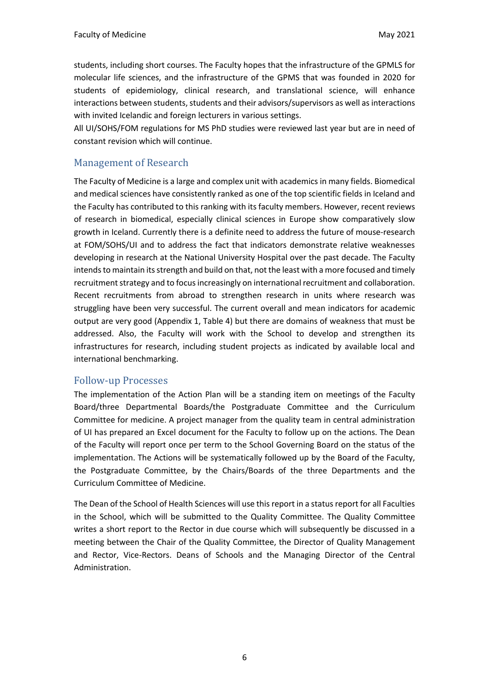students, including short courses. The Faculty hopes that the infrastructure of the GPMLS for molecular life sciences, and the infrastructure of the GPMS that was founded in 2020 for students of epidemiology, clinical research, and translational science, will enhance interactions between students, students and their advisors/supervisors as well as interactions with invited Icelandic and foreign lecturers in various settings.

All UI/SOHS/FOM regulations for MS PhD studies were reviewed last year but are in need of constant revision which will continue.

#### Management of Research

The Faculty of Medicine is a large and complex unit with academics in many fields. Biomedical and medical sciences have consistently ranked as one of the top scientific fields in Iceland and the Faculty has contributed to this ranking with its faculty members. However, recent reviews of research in biomedical, especially clinical sciences in Europe show comparatively slow growth in Iceland. Currently there is a definite need to address the future of mouse-research at FOM/SOHS/UI and to address the fact that indicators demonstrate relative weaknesses developing in research at the National University Hospital over the past decade. The Faculty intends to maintain its strength and build on that, not the least with a more focused and timely recruitment strategy and to focus increasingly on international recruitment and collaboration. Recent recruitments from abroad to strengthen research in units where research was struggling have been very successful. The current overall and mean indicators for academic output are very good (Appendix 1, Table 4) but there are domains of weakness that must be addressed. Also, the Faculty will work with the School to develop and strengthen its infrastructures for research, including student projects as indicated by available local and international benchmarking.

#### Follow-up Processes

The implementation of the Action Plan will be a standing item on meetings of the Faculty Board/three Departmental Boards/the Postgraduate Committee and the Curriculum Committee for medicine. A project manager from the quality team in central administration of UI has prepared an Excel document for the Faculty to follow up on the actions. The Dean of the Faculty will report once per term to the School Governing Board on the status of the implementation. The Actions will be systematically followed up by the Board of the Faculty, the Postgraduate Committee, by the Chairs/Boards of the three Departments and the Curriculum Committee of Medicine.

The Dean of the School of Health Sciences will use this report in a status report for all Faculties in the School, which will be submitted to the Quality Committee. The Quality Committee writes a short report to the Rector in due course which will subsequently be discussed in a meeting between the Chair of the Quality Committee, the Director of Quality Management and Rector, Vice-Rectors. Deans of Schools and the Managing Director of the Central Administration.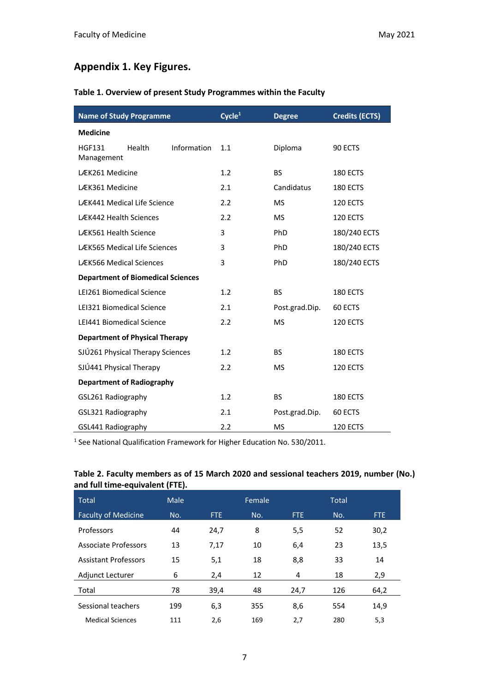### **Appendix 1. Key Figures.**

#### **Table 1. Overview of present Study Programmes within the Faculty**

| <b>Name of Study Programme</b>           |             | Cycle <sup>1</sup> | <b>Degree</b>  | <b>Credits (ECTS)</b> |
|------------------------------------------|-------------|--------------------|----------------|-----------------------|
| <b>Medicine</b>                          |             |                    |                |                       |
| <b>HGF131</b><br>Health<br>Management    | Information | 1.1                | Diploma        | 90 ECTS               |
| LÆK261 Medicine                          |             | 1.2                | <b>BS</b>      | 180 ECTS              |
| LÆK361 Medicine                          |             | 2.1                | Candidatus     | 180 ECTS              |
| LÆK441 Medical Life Science              |             | 2.2                | <b>MS</b>      | <b>120 ECTS</b>       |
| <b>LÆK442 Health Sciences</b>            |             | 2.2                | <b>MS</b>      | 120 ECTS              |
| LÆK561 Health Science                    |             | 3                  | PhD            | 180/240 ECTS          |
| <b>LÆK565 Medical Life Sciences</b>      |             | 3                  | PhD            | 180/240 ECTS          |
| LÆK566 Medical Sciences                  |             | 3                  | PhD            | 180/240 ECTS          |
| <b>Department of Biomedical Sciences</b> |             |                    |                |                       |
| LEI261 Biomedical Science                |             | 1.2                | <b>BS</b>      | <b>180 ECTS</b>       |
| LEI321 Biomedical Science                |             | 2.1                | Post.grad.Dip. | 60 ECTS               |
| LEI441 Biomedical Science                |             | 2.2                | <b>MS</b>      | 120 ECTS              |
| <b>Department of Physical Therapy</b>    |             |                    |                |                       |
| SJÚ261 Physical Therapy Sciences         |             | 1.2                | <b>BS</b>      | 180 ECTS              |
| SJÚ441 Physical Therapy                  | 2.2         | <b>MS</b>          | 120 ECTS       |                       |
| <b>Department of Radiography</b>         |             |                    |                |                       |
| GSL261 Radiography                       | 1.2         | <b>BS</b>          | 180 ECTS       |                       |
| GSL321 Radiography                       |             | 2.1                | Post.grad.Dip. | 60 ECTS               |
| GSL441 Radiography                       |             | 2.2                | <b>MS</b>      | 120 ECTS              |

<sup>1</sup> See National Qualification Framework for Higher Education No. 530/2011.

#### **Table 2. Faculty members as of 15 March 2020 and sessional teachers 2019, number (No.) and full time-equivalent (FTE).**

| <b>Total</b>                | Male |            | Female |      | <b>Total</b> |      |
|-----------------------------|------|------------|--------|------|--------------|------|
| <b>Faculty of Medicine</b>  | No.  | <b>FTE</b> | No.    | FTE. | No.          | FTE. |
| Professors                  | 44   | 24,7       | 8      | 5,5  | 52           | 30,2 |
| <b>Associate Professors</b> | 13   | 7,17       | 10     | 6,4  | 23           | 13,5 |
| <b>Assistant Professors</b> | 15   | 5,1        | 18     | 8,8  | 33           | 14   |
| <b>Adjunct Lecturer</b>     | 6    | 2,4        | 12     | 4    | 18           | 2,9  |
| Total                       | 78   | 39,4       | 48     | 24,7 | 126          | 64,2 |
| Sessional teachers          | 199  | 6,3        | 355    | 8,6  | 554          | 14,9 |
| <b>Medical Sciences</b>     | 111  | 2,6        | 169    | 2,7  | 280          | 5,3  |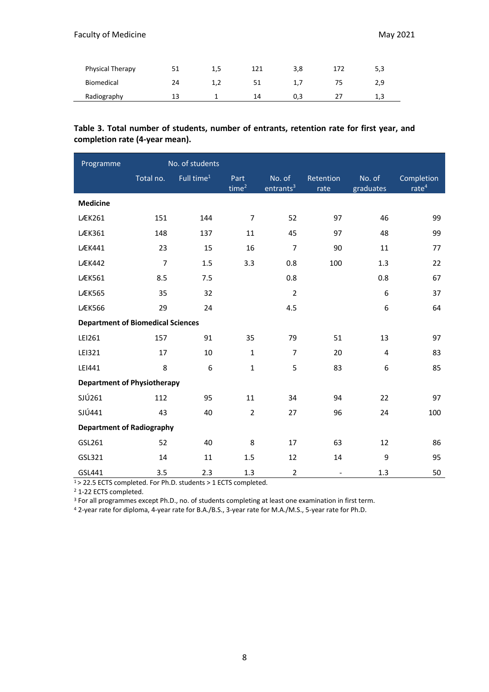| Physical Therapy |    | 1,5 |    | 3,8       | 5,3 |
|------------------|----|-----|----|-----------|-----|
| Biomedical       | 24 |     | 51 | $\perp$ . | 2,9 |
| Radiography      | 13 |     | 14 | U,3       | 1,3 |

#### **Table 3. Total number of students, number of entrants, retention rate for first year, and completion rate (4-year mean).**

| Programme                                |                | No. of students        |                  |                                 |                          |                     |                                 |
|------------------------------------------|----------------|------------------------|------------------|---------------------------------|--------------------------|---------------------|---------------------------------|
|                                          | Total no.      | Full time <sup>1</sup> | Part<br>time $2$ | No. of<br>entrants <sup>3</sup> | Retention<br>rate        | No. of<br>graduates | Completion<br>rate <sup>4</sup> |
| <b>Medicine</b>                          |                |                        |                  |                                 |                          |                     |                                 |
| <b>LÆK261</b>                            | 151            | 144                    | $\overline{7}$   | 52                              | 97                       | 46                  | 99                              |
| <b>LÆK361</b>                            | 148            | 137                    | 11               | 45                              | 97                       | 48                  | 99                              |
| <b>LÆK441</b>                            | 23             | 15                     | 16               | $\overline{7}$                  | 90                       | 11                  | 77                              |
| <b>LÆK442</b>                            | $\overline{7}$ | 1.5                    | 3.3              | 0.8                             | 100                      | 1.3                 | 22                              |
| <b>LÆK561</b>                            | 8.5            | 7.5                    |                  | 0.8                             |                          | 0.8                 | 67                              |
| <b>LÆK565</b>                            | 35             | 32                     |                  | $\overline{2}$                  |                          | 6                   | 37                              |
| <b>LÆK566</b>                            | 29             | 24                     |                  | 4.5                             |                          | 6                   | 64                              |
| <b>Department of Biomedical Sciences</b> |                |                        |                  |                                 |                          |                     |                                 |
| LEI261                                   | 157            | 91                     | 35               | 79                              | 51                       | 13                  | 97                              |
| LEI321                                   | 17             | 10                     | $\mathbf{1}$     | $\overline{7}$                  | 20                       | $\overline{4}$      | 83                              |
| LEI441                                   | 8              | 6                      | $\mathbf 1$      | 5                               | 83                       | 6                   | 85                              |
| <b>Department of Physiotherapy</b>       |                |                        |                  |                                 |                          |                     |                                 |
| SJÚ261                                   | 112            | 95                     | 11               | 34                              | 94                       | 22                  | 97                              |
| SJÚ441                                   | 43             | 40                     | $\overline{2}$   | 27                              | 96                       | 24                  | 100                             |
| <b>Department of Radiography</b>         |                |                        |                  |                                 |                          |                     |                                 |
| GSL261                                   | 52             | 40                     | 8                | 17                              | 63                       | 12                  | 86                              |
| GSL321                                   | 14             | 11                     | 1.5              | 12                              | 14                       | 9                   | 95                              |
| GSL441                                   | 3.5            | 2.3                    | 1.3              | $\overline{2}$                  | $\overline{\phantom{a}}$ | 1.3                 | 50                              |

1 > 22.5 ECTS completed. For Ph.D. students > 1 ECTS completed.

<sup>2</sup> 1-22 ECTS completed.

<sup>3</sup> For all programmes except Ph.D., no. of students completing at least one examination in first term.

<sup>4</sup> 2-year rate for diploma, 4-year rate for B.A./B.S., 3-year rate for M.A./M.S., 5-year rate for Ph.D.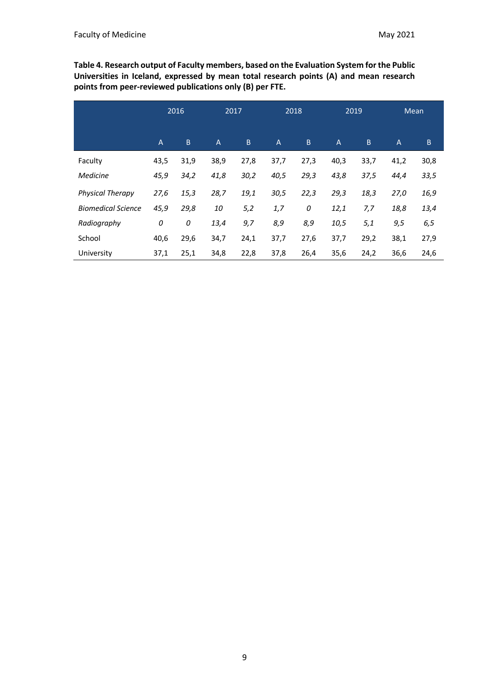**Table 4. Research output of Faculty members, based on the Evaluation System for the Public Universities in Iceland, expressed by mean total research points (A) and mean research points from peer-reviewed publications only (B) per FTE.**

|                           |                | 2016 | 2017           |      |                | 2018 | 2019           |      |                | <b>Mean</b> |
|---------------------------|----------------|------|----------------|------|----------------|------|----------------|------|----------------|-------------|
|                           | $\overline{A}$ | B.   | $\overline{A}$ | B    | $\overline{A}$ | B.   | $\overline{A}$ | B    | $\overline{A}$ | B.          |
| Faculty                   | 43,5           | 31,9 | 38,9           | 27,8 | 37,7           | 27,3 | 40,3           | 33,7 | 41,2           | 30,8        |
| Medicine                  | 45,9           | 34,2 | 41,8           | 30,2 | 40,5           | 29,3 | 43,8           | 37,5 | 44,4           | 33,5        |
| <b>Physical Therapy</b>   | 27,6           | 15,3 | 28,7           | 19,1 | 30,5           | 22,3 | 29,3           | 18,3 | 27,0           | 16,9        |
| <b>Biomedical Science</b> | 45,9           | 29,8 | 10             | 5,2  | 1,7            | 0    | 12,1           | 7,7  | 18,8           | 13,4        |
| Radiography               | 0              | 0    | 13,4           | 9,7  | 8,9            | 8,9  | 10,5           | 5,1  | 9,5            | 6,5         |
| School                    | 40,6           | 29,6 | 34,7           | 24,1 | 37,7           | 27,6 | 37,7           | 29,2 | 38,1           | 27,9        |
| University                | 37,1           | 25,1 | 34,8           | 22,8 | 37,8           | 26,4 | 35,6           | 24,2 | 36,6           | 24,6        |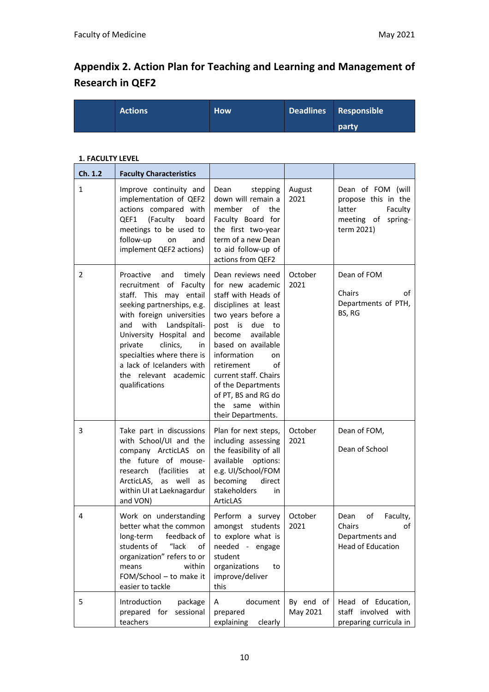## **Appendix 2. Action Plan for Teaching and Learning and Management of Research in QEF2**

| <b>Actions</b> | <b>How</b> | Deadlines Responsible |
|----------------|------------|-----------------------|
|                |            | party                 |

#### **1. FACULTY LEVEL**

| Ch. 1.2      | <b>Faculty Characteristics</b>                                                                                                                                                                                                                                                                                                         |                                                                                                                                                                                                                                                                                                                                   |                       |                                                                                                      |
|--------------|----------------------------------------------------------------------------------------------------------------------------------------------------------------------------------------------------------------------------------------------------------------------------------------------------------------------------------------|-----------------------------------------------------------------------------------------------------------------------------------------------------------------------------------------------------------------------------------------------------------------------------------------------------------------------------------|-----------------------|------------------------------------------------------------------------------------------------------|
| $\mathbf{1}$ | Improve continuity and<br>implementation of QEF2<br>actions compared with<br>QEF1<br>(Faculty<br>board<br>meetings to be used to<br>follow-up<br>on<br>and<br>implement QEF2 actions)                                                                                                                                                  | stepping<br>Dean<br>down will remain a<br>member<br>of<br>the<br>Faculty Board for<br>the first two-year<br>term of a new Dean<br>to aid follow-up of<br>actions from QEF2                                                                                                                                                        | August<br>2021        | Dean of FOM (will<br>propose this in the<br>latter<br>Faculty<br>meeting of<br>spring-<br>term 2021) |
| 2            | Proactive<br>and<br>timely<br>recruitment of<br>Faculty<br>staff. This may entail<br>seeking partnerships, e.g.<br>with foreign universities<br>with Landspítali-<br>and<br>University Hospital and<br>private<br>clinics,<br>in<br>specialties where there is<br>a lack of Icelanders with<br>the relevant academic<br>qualifications | Dean reviews need<br>for new academic<br>staff with Heads of<br>disciplines at least<br>two years before a<br>post is due to<br>available<br>become<br>based on available<br>information<br>on<br>οf<br>retirement<br>current staff. Chairs<br>of the Departments<br>of PT, BS and RG do<br>the same within<br>their Departments. | October<br>2021       | Dean of FOM<br>Chairs<br>of<br>Departments of PTH,<br>BS, RG                                         |
| 3            | Take part in discussions<br>with School/UI and the<br>company ArcticLAS on<br>the future of mouse-<br>(facilities<br>research<br>at<br>ArcticLAS, as well<br>as<br>within UI at Laeknagardur<br>and VON)                                                                                                                               | Plan for next steps,<br>including assessing<br>the feasibility of all<br>available<br>options:<br>e.g. UI/School/FOM<br>becoming<br>direct<br>stakeholders<br>in<br>ArticLAS                                                                                                                                                      | October<br>2021       | Dean of FOM,<br>Dean of School                                                                       |
| 4            | Work on understanding<br>better what the common<br>long-term<br>feedback of<br>students of<br>"lack<br>of<br>organization" refers to or<br>means<br>within<br>FOM/School - to make it<br>easier to tackle                                                                                                                              | Perform a survey<br>amongst students<br>to explore what is<br>needed - engage<br>student<br>organizations<br>to<br>improve/deliver<br>this                                                                                                                                                                                        | October<br>2021       | Dean<br>Faculty,<br>οf<br>Chairs<br>of<br>Departments and<br><b>Head of Education</b>                |
| 5            | Introduction<br>package<br>prepared for<br>sessional<br>teachers                                                                                                                                                                                                                                                                       | document<br>A<br>prepared<br>explaining<br>clearly                                                                                                                                                                                                                                                                                | By end of<br>May 2021 | Head of Education,<br>staff involved with<br>preparing curricula in                                  |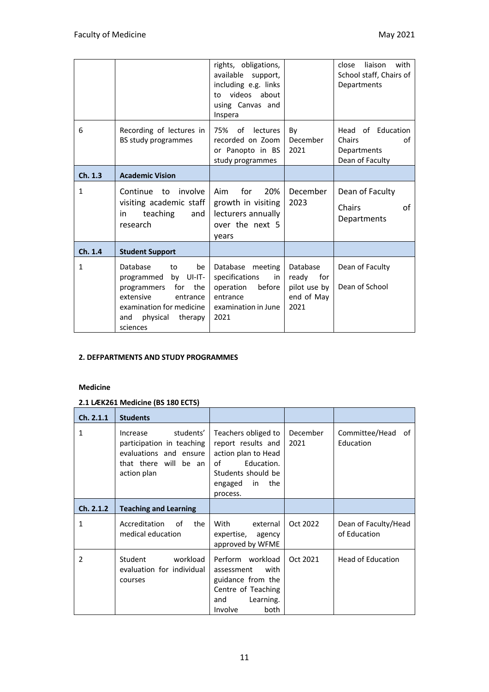|              |                                                                                                                                                                          | rights, obligations,<br>available<br>support,<br>including e.g. links<br>videos about<br>to<br>using Canvas and<br>Inspera |                                                                | liaison<br>close<br>with<br>School staff, Chairs of<br>Departments  |
|--------------|--------------------------------------------------------------------------------------------------------------------------------------------------------------------------|----------------------------------------------------------------------------------------------------------------------------|----------------------------------------------------------------|---------------------------------------------------------------------|
| 6            | Recording of lectures in<br>BS study programmes                                                                                                                          | 75% of<br>lectures<br>recorded on Zoom<br>or Panopto in BS<br>study programmes                                             | By<br>December<br>2021                                         | Head of Education<br>Chairs<br>of<br>Departments<br>Dean of Faculty |
| Ch. 1.3      | <b>Academic Vision</b>                                                                                                                                                   |                                                                                                                            |                                                                |                                                                     |
| $\mathbf{1}$ | involve<br>Continue to<br>visiting academic staff<br>teaching<br>and<br>in<br>research                                                                                   | for<br>Aim<br>20%<br>growth in visiting<br>lecturers annually<br>over the next 5<br>years                                  | December<br>2023                                               | Dean of Faculty<br>Chairs<br>οf<br>Departments                      |
| Ch. 1.4      | <b>Student Support</b>                                                                                                                                                   |                                                                                                                            |                                                                |                                                                     |
| 1            | Database<br>be<br>to<br>programmed by UI-IT-<br>the<br>for<br>programmers<br>extensive<br>entrance<br>examination for medicine<br>and<br>physical<br>therapy<br>sciences | Database meeting<br>specifications<br>in<br>operation before<br>entrance<br>examination in June<br>2021                    | Database<br>ready<br>for<br>pilot use by<br>end of May<br>2021 | Dean of Faculty<br>Dean of School                                   |

#### **2. DEFPARTMENTS AND STUDY PROGRAMMES**

#### **Medicine**

#### **2.1 LÆK261 Medicine (BS 180 ECTS)**

| Ch. 2.1.1     | <b>Students</b>                                                                                                      |                                                                                                                                             |                  |                                      |
|---------------|----------------------------------------------------------------------------------------------------------------------|---------------------------------------------------------------------------------------------------------------------------------------------|------------------|--------------------------------------|
| 1             | students'<br>Increase<br>participation in teaching<br>evaluations and ensure<br>that there will be an<br>action plan | Teachers obliged to<br>report results and<br>action plan to Head<br>Education.<br>οf<br>Students should be<br>engaged in<br>the<br>process. | December<br>2021 | Committee/Head<br>of<br>Education    |
| Ch. 2.1.2     | <b>Teaching and Learning</b>                                                                                         |                                                                                                                                             |                  |                                      |
| 1             | Accreditation<br>of<br>the<br>medical education                                                                      | With<br>external<br>expertise,<br>agency<br>approved by WFME                                                                                | Oct 2022         | Dean of Faculty/Head<br>of Education |
| $\mathcal{P}$ | <b>Student</b><br>workload<br>evaluation for individual<br>courses                                                   | Perform workload<br>with<br>assessment<br>guidance from the<br>Centre of Teaching<br>Learning.<br>and<br>Involve<br>both                    | Oct 2021         | <b>Head of Education</b>             |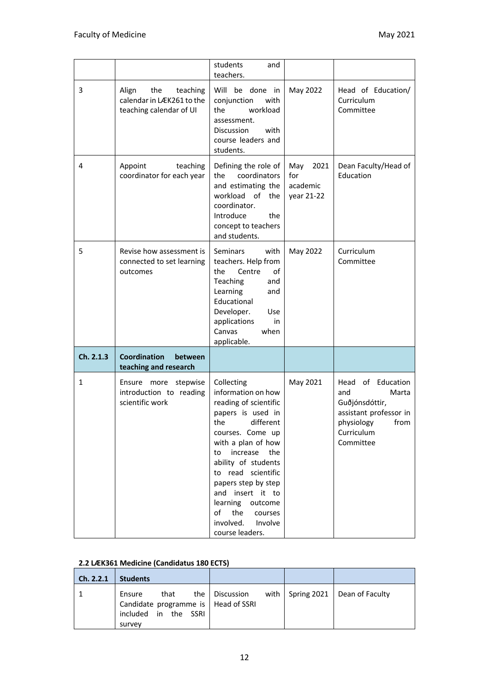|           |                                                                                  | students<br>and<br>teachers.                                                                                                                                                                                                                                                                                                          |                                              |                                                                                                                                   |
|-----------|----------------------------------------------------------------------------------|---------------------------------------------------------------------------------------------------------------------------------------------------------------------------------------------------------------------------------------------------------------------------------------------------------------------------------------|----------------------------------------------|-----------------------------------------------------------------------------------------------------------------------------------|
| 3         | Align<br>the<br>teaching<br>calendar in LÆK261 to the<br>teaching calendar of UI | Will be done in<br>conjunction<br>with<br>workload<br>the<br>assessment.<br>with<br><b>Discussion</b><br>course leaders and<br>students.                                                                                                                                                                                              | May 2022                                     | Head of Education/<br>Curriculum<br>Committee                                                                                     |
| 4         | Appoint<br>teaching<br>coordinator for each year                                 | Defining the role of<br>coordinators<br>the<br>and estimating the<br>workload of<br>the<br>coordinator.<br>Introduce<br>the<br>concept to teachers<br>and students.                                                                                                                                                                   | May<br>2021<br>for<br>academic<br>year 21-22 | Dean Faculty/Head of<br>Education                                                                                                 |
| 5         | Revise how assessment is<br>connected to set learning<br>outcomes                | <b>Seminars</b><br>with<br>teachers. Help from<br>of<br>the<br>Centre<br>Teaching<br>and<br>Learning<br>and<br>Educational<br>Developer.<br>Use<br>applications<br>in<br>Canvas<br>when<br>applicable.                                                                                                                                | May 2022                                     | Curriculum<br>Committee                                                                                                           |
| Ch. 2.1.3 | Coordination<br>between<br>teaching and research                                 |                                                                                                                                                                                                                                                                                                                                       |                                              |                                                                                                                                   |
| 1         | Ensure<br>more stepwise<br>introduction to reading<br>scientific work            | Collecting<br>information on how<br>reading of scientific<br>papers is used in<br>the<br>different<br>courses. Come up<br>with a plan of how<br>to increase the<br>ability of students<br>to read scientific<br>papers step by step<br>and insert it to<br>learning outcome<br>of the courses<br>involved. Involve<br>course leaders. | May 2021                                     | of Education<br>Head<br>and<br>Marta<br>Guðjónsdóttir,<br>assistant professor in<br>physiology<br>from<br>Curriculum<br>Committee |

#### **2.2 LÆK361 Medicine (Candidatus 180 ECTS)**

| Ch. 2.2.1 | <b>Students</b>                                                                           |                        |                                      |
|-----------|-------------------------------------------------------------------------------------------|------------------------|--------------------------------------|
|           | that<br>Ensure<br>Candidate programme is   Head of SSRI<br>included in the SSRI<br>survey | the $\vert$ Discussion | with   Spring 2021   Dean of Faculty |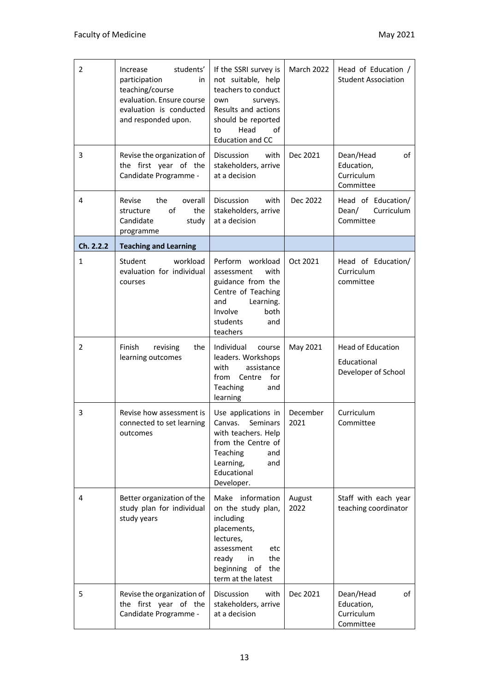| $\overline{2}$ | students'<br>Increase<br>participation<br>in<br>teaching/course<br>evaluation. Ensure course<br>evaluation is conducted<br>and responded upon. | If the SSRI survey is<br>not suitable, help<br>teachers to conduct<br>surveys.<br>own<br>Results and actions<br>should be reported<br>Head<br>of<br>to<br><b>Education and CC</b> | March 2022       | Head of Education /<br><b>Student Association</b>              |
|----------------|------------------------------------------------------------------------------------------------------------------------------------------------|-----------------------------------------------------------------------------------------------------------------------------------------------------------------------------------|------------------|----------------------------------------------------------------|
| 3              | Revise the organization of<br>the first year of the<br>Candidate Programme -                                                                   | Discussion<br>with<br>stakeholders, arrive<br>at a decision                                                                                                                       | Dec 2021         | Dean/Head<br>of<br>Education,<br>Curriculum<br>Committee       |
| 4              | Revise<br>the<br>overall<br>of<br>the<br>structure<br>Candidate<br>study<br>programme                                                          | <b>Discussion</b><br>with<br>stakeholders, arrive<br>at a decision                                                                                                                | Dec 2022         | Head of Education/<br>Curriculum<br>Dean/<br>Committee         |
| Ch. 2.2.2      | <b>Teaching and Learning</b>                                                                                                                   |                                                                                                                                                                                   |                  |                                                                |
| $\mathbf{1}$   | Student<br>workload<br>evaluation for individual<br>courses                                                                                    | Perform workload<br>with<br>assessment<br>guidance from the<br>Centre of Teaching<br>and<br>Learning.<br>Involve<br>both<br>students<br>and<br>teachers                           | Oct 2021         | Head of Education/<br>Curriculum<br>committee                  |
| 2              | Finish<br>revising<br>the<br>learning outcomes                                                                                                 | Individual<br>course<br>leaders. Workshops<br>with<br>assistance<br>Centre<br>for<br>from<br>Teaching<br>and<br>learning                                                          | May 2021         | <b>Head of Education</b><br>Educational<br>Developer of School |
| 3              | Revise how assessment is<br>connected to set learning<br>outcomes                                                                              | Use applications in<br>Seminars<br>Canvas.<br>with teachers. Help<br>from the Centre of<br>Teaching<br>and<br>Learning,<br>and<br>Educational<br>Developer.                       | December<br>2021 | Curriculum<br>Committee                                        |
| 4              | Better organization of the<br>study plan for individual<br>study years                                                                         | Make information<br>on the study plan,<br>including<br>placements,<br>lectures,<br>assessment<br>etc<br>the<br>ready<br>in<br>beginning of<br>the<br>term at the latest           | August<br>2022   | Staff with each year<br>teaching coordinator                   |
| 5              | Revise the organization of<br>the first year of the<br>Candidate Programme -                                                                   | Discussion<br>with<br>stakeholders, arrive<br>at a decision                                                                                                                       | Dec 2021         | Dean/Head<br>of<br>Education,<br>Curriculum<br>Committee       |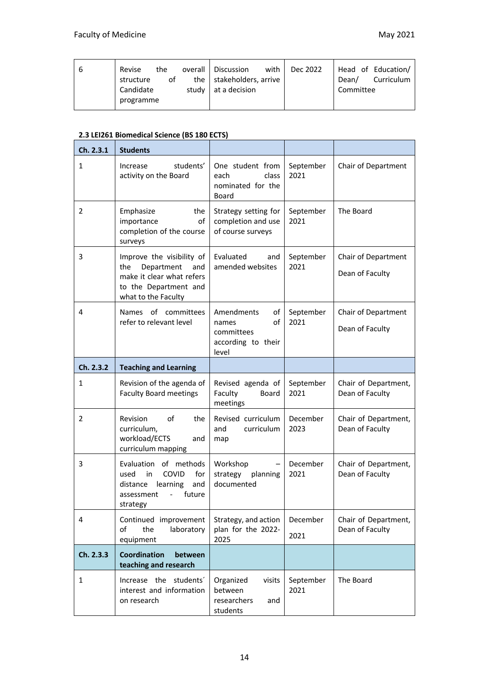| b | Revise<br>the<br>structure<br>οf | with I<br>overall   Discussion<br>the stakeholders, arrive | Dec 2022 | Head of Education/<br>Curriculum<br>Dean/ |
|---|----------------------------------|------------------------------------------------------------|----------|-------------------------------------------|
|   | Candidate<br>programme           | study at a decision                                        |          | Committee                                 |

#### **2.3 LEI261 Biomedical Science (BS 180 ECTS)**

| Ch. 2.3.1      | <b>Students</b>                                                                                                                    |                                                                              |                   |                                         |
|----------------|------------------------------------------------------------------------------------------------------------------------------------|------------------------------------------------------------------------------|-------------------|-----------------------------------------|
| $\mathbf{1}$   | students'<br>Increase<br>activity on the Board                                                                                     | One student from<br>class<br>each<br>nominated for the<br><b>Board</b>       | September<br>2021 | Chair of Department                     |
| $\overline{2}$ | Emphasize<br>the<br>importance<br>οf<br>completion of the course<br>surveys                                                        | Strategy setting for<br>completion and use<br>of course surveys              | September<br>2021 | The Board                               |
| 3              | Improve the visibility of<br>Department<br>the<br>and<br>make it clear what refers<br>to the Department and<br>what to the Faculty | Evaluated<br>and<br>amended websites                                         | September<br>2021 | Chair of Department<br>Dean of Faculty  |
| 4              | Names of committees<br>refer to relevant level                                                                                     | Amendments<br>of<br>of<br>names<br>committees<br>according to their<br>level | September<br>2021 | Chair of Department<br>Dean of Faculty  |
| Ch. 2.3.2      | <b>Teaching and Learning</b>                                                                                                       |                                                                              |                   |                                         |
|                |                                                                                                                                    |                                                                              |                   |                                         |
| 1              | Revision of the agenda of<br><b>Faculty Board meetings</b>                                                                         | Revised agenda of<br>Faculty<br>Board<br>meetings                            | September<br>2021 | Chair of Department,<br>Dean of Faculty |
| $\overline{2}$ | of<br>the<br><b>Revision</b><br>curriculum,<br>workload/ECTS<br>and<br>curriculum mapping                                          | Revised curriculum<br>curriculum<br>and<br>map                               | December<br>2023  | Chair of Department,<br>Dean of Faculty |
| 3              | Evaluation of methods<br>for<br>COVID<br>used<br>in<br>distance<br>learning<br>and<br>future<br>assessment<br>strategy             | Workshop<br>strategy<br>planning<br>documented                               | December<br>2021  | Chair of Department,<br>Dean of Faculty |
| 4              | Continued improvement<br>of<br>the<br>laboratory<br>equipment                                                                      | Strategy, and action<br>plan for the 2022-<br>2025                           | December<br>2021  | Chair of Department,<br>Dean of Faculty |
| Ch. 2.3.3      | Coordination<br>between<br>teaching and research                                                                                   |                                                                              |                   |                                         |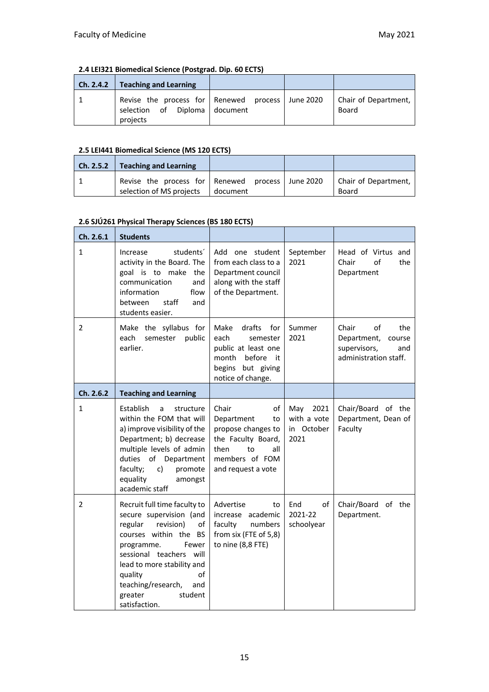#### **2.4 LEI321 Biomedical Science (Postgrad. Dip. 60 ECTS)**

| Ch. 2.4.2 | <b>Teaching and Learning</b>                                                                  |  |                               |
|-----------|-----------------------------------------------------------------------------------------------|--|-------------------------------|
|           | Revise the process for Renewed process June 2020<br>selection of Diploma document<br>projects |  | Chair of Department,<br>Board |

#### **2.5 LEI441 Biomedical Science (MS 120 ECTS)**

| Ch. 2.5.2 | <b>Teaching and Learning</b>                                                 |          |                               |
|-----------|------------------------------------------------------------------------------|----------|-------------------------------|
|           | Revise the process for Renewed process June 2020<br>selection of MS projects | document | Chair of Department,<br>Board |

#### **2.6 SJÚ261 Physical Therapy Sciences (BS 180 ECTS)**

| Ch. 2.6.1      | <b>Students</b>                                                                                                                                                                                                                                                                     |                                                                                                                                          |                                                  |                                                                                             |
|----------------|-------------------------------------------------------------------------------------------------------------------------------------------------------------------------------------------------------------------------------------------------------------------------------------|------------------------------------------------------------------------------------------------------------------------------------------|--------------------------------------------------|---------------------------------------------------------------------------------------------|
| $\mathbf{1}$   | students'<br>Increase<br>activity in the Board. The<br>goal is to make<br>the<br>communication<br>and<br>flow<br>information<br>staff<br>and<br>between<br>students easier.                                                                                                         | Add one student<br>from each class to a<br>Department council<br>along with the staff<br>of the Department.                              | September<br>2021                                | Head of Virtus and<br>of<br>Chair<br>the<br>Department                                      |
| 2              | Make the syllabus for<br>semester<br>public<br>each<br>earlier.                                                                                                                                                                                                                     | Make<br>drafts for<br>each<br>semester<br>public at least one<br>month<br>before it<br>begins but giving<br>notice of change.            | Summer<br>2021                                   | Chair<br>of<br>the<br>Department,<br>course<br>supervisors,<br>and<br>administration staff. |
| Ch. 2.6.2      | <b>Teaching and Learning</b>                                                                                                                                                                                                                                                        |                                                                                                                                          |                                                  |                                                                                             |
| $\mathbf{1}$   | Establish<br>a<br>structure<br>within the FOM that will<br>a) improve visibility of the<br>Department; b) decrease<br>multiple levels of admin<br>duties of Department<br>faculty;<br>c)<br>promote<br>equality<br>amongst<br>academic staff                                        | Chair<br>of<br>Department<br>to<br>propose changes to<br>the Faculty Board,<br>to<br>then<br>all<br>members of FOM<br>and request a vote | 2021<br>May<br>with a vote<br>in October<br>2021 | Chair/Board of the<br>Department, Dean of<br>Faculty                                        |
| $\overline{2}$ | Recruit full time faculty to<br>secure supervision (and<br>regular<br>revision)<br>of<br>courses within the BS<br>programme.<br>Fewer<br>sessional teachers will<br>lead to more stability and<br>of<br>quality<br>teaching/research,<br>and<br>greater<br>student<br>satisfaction. | Advertise<br>to<br>increase academic<br>faculty<br>numbers<br>from six (FTE of 5,8)<br>to nine (8,8 FTE)                                 | End<br>of<br>2021-22<br>schoolyear               | Chair/Board of the<br>Department.                                                           |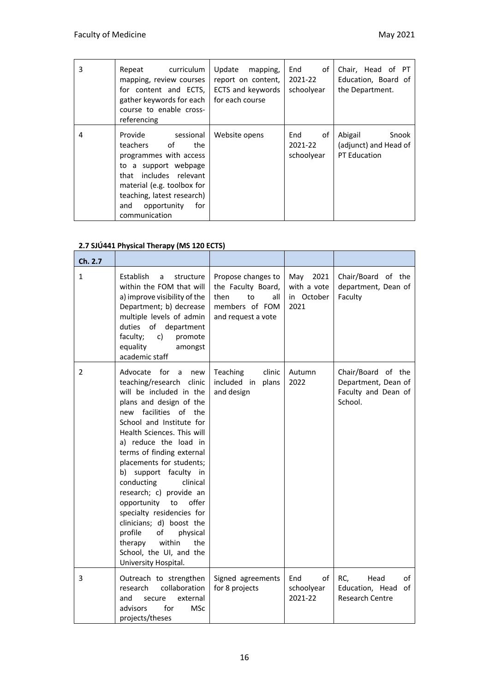| 3 | Repeat curriculum<br>mapping, review courses<br>for content and ECTS,<br>gather keywords for each<br>course to enable cross-<br>referencing                                                                                         | Update<br>mapping,<br>report on content,<br>ECTS and keywords<br>for each course | End<br>of<br>2021-22<br>schoolyear | Chair, Head of PT<br>Education, Board of<br>the Department. |
|---|-------------------------------------------------------------------------------------------------------------------------------------------------------------------------------------------------------------------------------------|----------------------------------------------------------------------------------|------------------------------------|-------------------------------------------------------------|
| 4 | Provide<br>sessional<br>of<br>teachers<br>the<br>programmes with access<br>to a support webpage<br>that includes relevant<br>material (e.g. toolbox for<br>teaching, latest research)<br>opportunity<br>for<br>and<br>communication | Website opens                                                                    | οf<br>End<br>2021-22<br>schoolyear | Abigail<br>Snook<br>(adjunct) and Head of<br>PT Education   |

#### **2.7 SJÚ441 Physical Therapy (MS 120 ECTS)**

| Ch. 2.7        |                                                                                                                                                                                                                                                                                                                                                                                                                                                                                                                                                                           |                                                                                                       |                                                  |                                                                             |
|----------------|---------------------------------------------------------------------------------------------------------------------------------------------------------------------------------------------------------------------------------------------------------------------------------------------------------------------------------------------------------------------------------------------------------------------------------------------------------------------------------------------------------------------------------------------------------------------------|-------------------------------------------------------------------------------------------------------|--------------------------------------------------|-----------------------------------------------------------------------------|
| $\mathbf{1}$   | Establish<br>structure<br>a<br>within the FOM that will<br>a) improve visibility of the<br>Department; b) decrease<br>multiple levels of admin<br>duties of department<br>faculty;<br>c)<br>promote<br>equality<br>amongst<br>academic staff                                                                                                                                                                                                                                                                                                                              | Propose changes to<br>the Faculty Board,<br>then<br>to<br>all<br>members of FOM<br>and request a vote | May<br>2021<br>with a vote<br>in October<br>2021 | Chair/Board of the<br>department, Dean of<br>Faculty                        |
| $\overline{2}$ | for<br>Advocate<br>new<br>a<br>teaching/research clinic<br>will be included in the<br>plans and design of the<br>facilities of<br>new<br>the<br>School and Institute for<br>Health Sciences. This will<br>a) reduce the load in<br>terms of finding external<br>placements for students;<br>b) support faculty in<br>conducting<br>clinical<br>research; c) provide an<br>opportunity<br>offer<br>to<br>specialty residencies for<br>clinicians; d) boost the<br>profile<br>of<br>physical<br>within<br>the<br>therapy<br>School, the UI, and the<br>University Hospital. | clinic<br>Teaching<br>included in<br>plans<br>and design                                              | Autumn<br>2022                                   | Chair/Board of the<br>Department, Dean of<br>Faculty and Dean of<br>School. |
| 3              | Outreach to strengthen<br>research<br>collaboration<br>and<br>external<br>secure<br>advisors<br>for<br><b>MSc</b><br>projects/theses                                                                                                                                                                                                                                                                                                                                                                                                                                      | Signed agreements<br>for 8 projects                                                                   | End<br>of<br>schoolyear<br>2021-22               | RC,<br>Head<br>οf<br>Education, Head<br>of<br><b>Research Centre</b>        |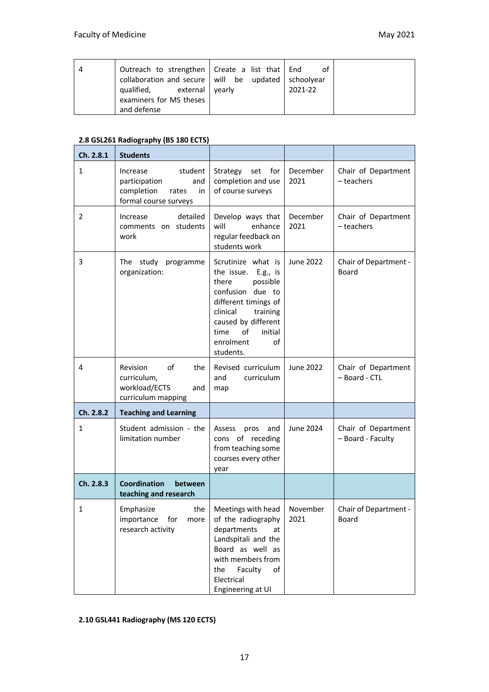| Outreach to strengthen   Create a list that   End<br>collaboration and secure   will be updated   schoolyear<br>qualified,<br>external   yearly | ot<br>2021-22 |  |
|-------------------------------------------------------------------------------------------------------------------------------------------------|---------------|--|
| examiners for MS theses<br>and defense                                                                                                          |               |  |

#### **2.8 GSL261 Radiography (BS 180 ECTS)**

| Ch. 2.8.1    | <b>Students</b>                                                                                   |                                                                                                                                                                                                                    |                  |                                          |
|--------------|---------------------------------------------------------------------------------------------------|--------------------------------------------------------------------------------------------------------------------------------------------------------------------------------------------------------------------|------------------|------------------------------------------|
| $\mathbf{1}$ | student<br>Increase<br>participation<br>and<br>completion<br>rates<br>in<br>formal course surveys | Strategy<br>for<br>set<br>completion and use<br>of course surveys                                                                                                                                                  | December<br>2021 | Chair of Department<br>- teachers        |
| 2            | detailed<br>Increase<br>comments on students<br>work                                              | Develop ways that<br>will<br>enhance<br>regular feedback on<br>students work                                                                                                                                       | December<br>2021 | Chair of Department<br>- teachers        |
| 3            | The study programme<br>organization:                                                              | Scrutinize what is<br>the issue. E.g., is<br>possible<br>there<br>confusion due to<br>different timings of<br>clinical<br>training<br>caused by different<br>of<br>time<br>initial<br>of<br>enrolment<br>students. | June 2022        | Chair of Department -<br>Board           |
| 4            | Revision<br>of<br>the<br>curriculum,<br>workload/ECTS<br>and<br>curriculum mapping                | Revised curriculum<br>and<br>curriculum<br>map                                                                                                                                                                     | June 2022        | Chair of Department<br>- Board - CTL     |
| Ch. 2.8.2    | <b>Teaching and Learning</b>                                                                      |                                                                                                                                                                                                                    |                  |                                          |
| $\mathbf{1}$ | Student admission - the<br>limitation number                                                      | Assess<br>pros<br>and<br>cons of receding<br>from teaching some<br>courses every other<br>year                                                                                                                     | <b>June 2024</b> | Chair of Department<br>- Board - Faculty |
| Ch. 2.8.3    | Coordination<br>between<br>teaching and research                                                  |                                                                                                                                                                                                                    |                  |                                          |
| 1            | Emphasize<br>the<br>importance<br>for<br>more<br>research activity                                | Meetings with head<br>of the radiography<br>departments<br>at<br>Landspitali and the<br>Board as well as<br>with members from<br>Faculty<br>the<br>of<br>Electrical<br>Engineering at UI                           | November<br>2021 | Chair of Department -<br>Board           |

#### **2.10 GSL441 Radiography (MS 120 ECTS)**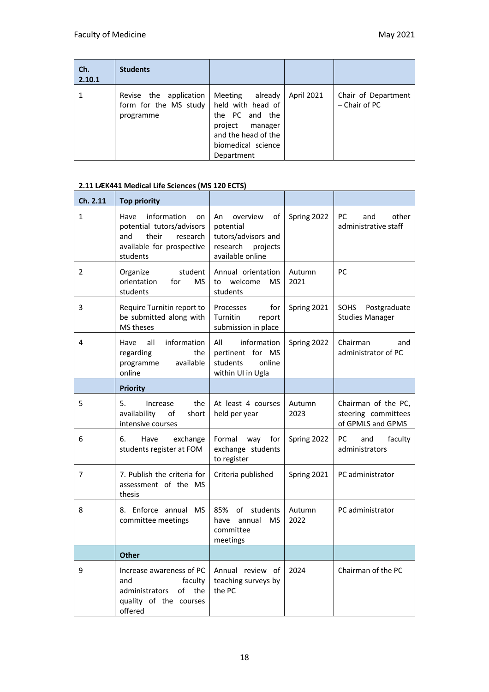| Ch.<br>2.10.1 | <b>Students</b>                                              |                                                                                                                                            |            |                                      |
|---------------|--------------------------------------------------------------|--------------------------------------------------------------------------------------------------------------------------------------------|------------|--------------------------------------|
|               | Revise the application<br>form for the MS study<br>programme | already<br>Meeting<br>held with head of<br>the PC and the<br>project<br>manager<br>and the head of the<br>biomedical science<br>Department | April 2021 | Chair of Department<br>- Chair of PC |

#### **2.11 LÆK441 Medical Life Sciences (MS 120 ECTS)**

| Ch. 2.11     | <b>Top priority</b>                                                                                                         |                                                                                                      |                |                                                                 |
|--------------|-----------------------------------------------------------------------------------------------------------------------------|------------------------------------------------------------------------------------------------------|----------------|-----------------------------------------------------------------|
| $\mathbf{1}$ | Have<br>information<br>on<br>potential tutors/advisors<br>and<br>their<br>research<br>available for prospective<br>students | overview<br>An<br>οf<br>potential<br>tutors/advisors and<br>research<br>projects<br>available online | Spring 2022    | PC<br>other<br>and<br>administrative staff                      |
| 2            | Organize<br>student<br>orientation<br>for<br><b>MS</b><br>students                                                          | Annual orientation<br>welcome<br><b>MS</b><br>to<br>students                                         | Autumn<br>2021 | PC                                                              |
| 3            | Require Turnitin report to<br>be submitted along with<br>MS theses                                                          | Processes<br>for<br>Turnitin<br>report<br>submission in place                                        | Spring 2021    | Postgraduate<br>SOHS<br><b>Studies Manager</b>                  |
| 4            | all<br>information<br>Have<br>regarding<br>the<br>available<br>programme<br>online                                          | information<br>All<br>pertinent for MS<br>students<br>online<br>within UI in Ugla                    | Spring 2022    | Chairman<br>and<br>administrator of PC                          |
|              | <b>Priority</b>                                                                                                             |                                                                                                      |                |                                                                 |
| 5            | 5.<br>the<br>Increase<br>availability<br>short<br>of<br>intensive courses                                                   | At least 4 courses<br>held per year                                                                  | Autumn<br>2023 | Chairman of the PC,<br>steering committees<br>of GPMLS and GPMS |
| 6            | 6.<br>exchange<br>Have<br>students register at FOM                                                                          | Formal<br>way<br>for<br>exchange students<br>to register                                             | Spring 2022    | <b>PC</b><br>and<br>faculty<br>administrators                   |
| 7            | 7. Publish the criteria for<br>assessment of the MS<br>thesis                                                               | Criteria published                                                                                   | Spring 2021    | PC administrator                                                |
| 8            | 8. Enforce annual MS<br>committee meetings                                                                                  | of students<br>85%<br>have annual<br>MS<br>committee<br>meetings                                     | Autumn<br>2022 | PC administrator                                                |
|              | <b>Other</b>                                                                                                                |                                                                                                      |                |                                                                 |
| 9            | Increase awareness of PC<br>faculty<br>and<br>of<br>the<br>administrators<br>quality of the courses<br>offered              | Annual review of<br>teaching surveys by<br>the PC                                                    | 2024           | Chairman of the PC                                              |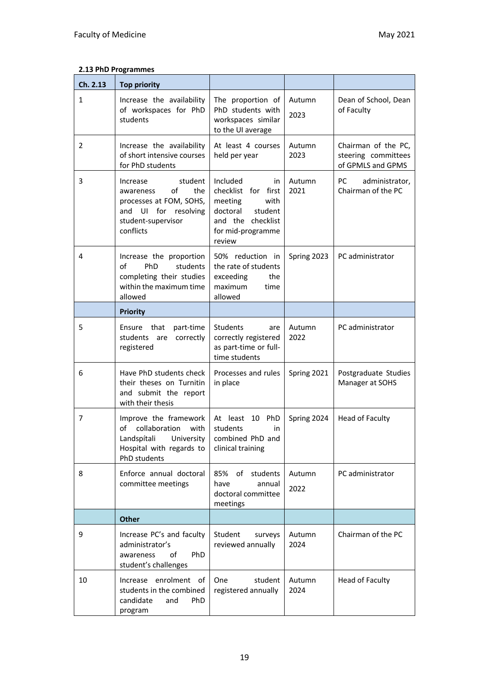#### **2.13 PhD Programmes**

| Ch. 2.13       | <b>Top priority</b>                                                                                                                    |                                                                                                                                     |                |                                                                 |
|----------------|----------------------------------------------------------------------------------------------------------------------------------------|-------------------------------------------------------------------------------------------------------------------------------------|----------------|-----------------------------------------------------------------|
| $\mathbf{1}$   | Increase the availability<br>of workspaces for PhD<br>students                                                                         | The proportion of<br>PhD students with<br>workspaces similar<br>to the UI average                                                   | Autumn<br>2023 | Dean of School, Dean<br>of Faculty                              |
| $\overline{2}$ | Increase the availability<br>of short intensive courses<br>for PhD students                                                            | At least 4 courses<br>held per year                                                                                                 | Autumn<br>2023 | Chairman of the PC,<br>steering committees<br>of GPMLS and GPMS |
| 3              | student<br>Increase<br>of<br>the<br>awareness<br>processes at FOM, SOHS,<br>UI for resolving<br>and<br>student-supervisor<br>conflicts | Included<br>in<br>checklist for first<br>with<br>meeting<br>doctoral<br>student<br>and the checklist<br>for mid-programme<br>review | Autumn<br>2021 | PС<br>administrator,<br>Chairman of the PC                      |
| 4              | Increase the proportion<br>of<br>students<br><b>PhD</b><br>completing their studies<br>within the maximum time<br>allowed              | 50% reduction in<br>the rate of students<br>exceeding<br>the<br>maximum<br>time<br>allowed                                          | Spring 2023    | PC administrator                                                |
|                | <b>Priority</b>                                                                                                                        |                                                                                                                                     |                |                                                                 |
| 5              | Ensure that<br>part-time<br>students are<br>correctly<br>registered                                                                    | Students<br>are<br>correctly registered<br>as part-time or full-<br>time students                                                   | Autumn<br>2022 | PC administrator                                                |
| 6              | Have PhD students check<br>their theses on Turnitin<br>and submit the report<br>with their thesis                                      | Processes and rules<br>in place                                                                                                     | Spring 2021    | Postgraduate Studies<br>Manager at SOHS                         |
| 7              | Improve the framework<br>collaboration<br>of<br>with<br>Landspítali<br>University<br>Hospital with regards to<br>PhD students          | PhD<br>At least 10<br>students<br>in<br>combined PhD and<br>clinical training                                                       | Spring 2024    | Head of Faculty                                                 |
| 8              | Enforce annual doctoral<br>committee meetings                                                                                          | 85%<br>of<br>students<br>have<br>annual<br>doctoral committee<br>meetings                                                           | Autumn<br>2022 | PC administrator                                                |
|                | <b>Other</b>                                                                                                                           |                                                                                                                                     |                |                                                                 |
| 9              | Increase PC's and faculty<br>administrator's<br>οf<br><b>PhD</b><br>awareness<br>student's challenges                                  | Student<br>surveys<br>reviewed annually                                                                                             | Autumn<br>2024 | Chairman of the PC                                              |
| 10             | Increase enrolment of<br>students in the combined<br>candidate<br>and<br>PhD.<br>program                                               | One<br>student<br>registered annually                                                                                               | Autumn<br>2024 | Head of Faculty                                                 |